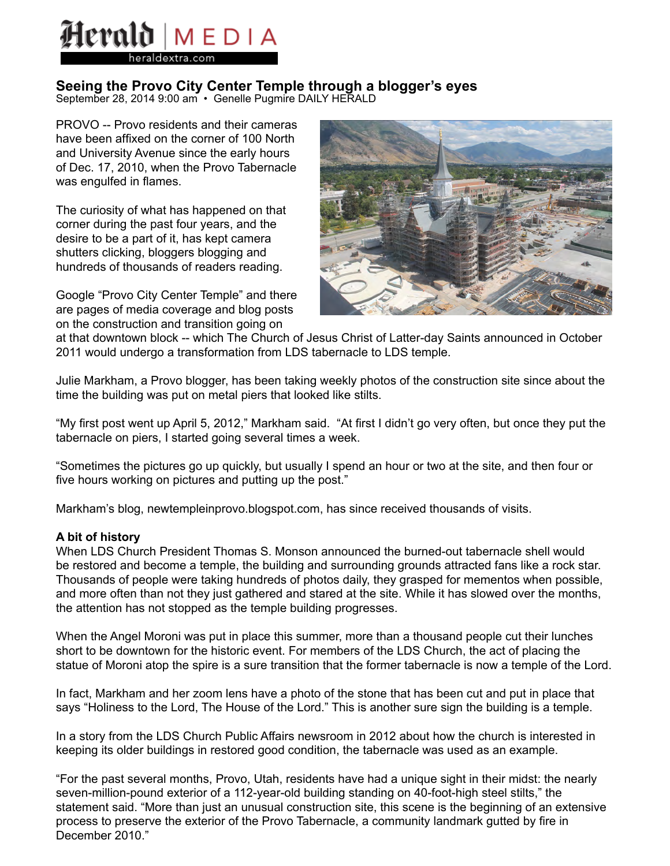# Herald | MEDIA eraldextra.com

# **Seeing the Provo City Center Temple through a blogger's eyes**

September 28, 2014 9:00 am • Genelle Pugmire DAILY HERALD

PROVO -- Provo residents and their cameras have been affixed on the corner of 100 North and University Avenue since the early hours of Dec. 17, 2010, when the Provo Tabernacle was engulfed in flames.

The curiosity of what has happened on that corner during the past four years, and the desire to be a part of it, has kept camera shutters clicking, bloggers blogging and hundreds of thousands of readers reading.

Google "Provo City Center Temple" and there are pages of media coverage and blog posts on the construction and transition going on



at that downtown block -- which The Church of Jesus Christ of Latter-day Saints announced in October 2011 would undergo a transformation from LDS tabernacle to LDS temple.

Julie Markham, a Provo blogger, has been taking weekly photos of the construction site since about the time the building was put on metal piers that looked like stilts.

"My first post went up April 5, 2012," Markham said. "At first I didn't go very often, but once they put the tabernacle on piers, I started going several times a week.

"Sometimes the pictures go up quickly, but usually I spend an hour or two at the site, and then four or five hours working on pictures and putting up the post."

Markham's blog, newtempleinprovo.blogspot.com, has since received thousands of visits.

## **A bit of history**

When LDS Church President Thomas S. Monson announced the burned-out tabernacle shell would be restored and become a temple, the building and surrounding grounds attracted fans like a rock star. Thousands of people were taking hundreds of photos daily, they grasped for mementos when possible, and more often than not they just gathered and stared at the site. While it has slowed over the months, the attention has not stopped as the temple building progresses.

When the Angel Moroni was put in place this summer, more than a thousand people cut their lunches short to be downtown for the historic event. For members of the LDS Church, the act of placing the statue of Moroni atop the spire is a sure transition that the former tabernacle is now a temple of the Lord.

In fact, Markham and her zoom lens have a photo of the stone that has been cut and put in place that says "Holiness to the Lord, The House of the Lord." This is another sure sign the building is a temple.

In a story from the LDS Church Public Affairs newsroom in 2012 about how the church is interested in keeping its older buildings in restored good condition, the tabernacle was used as an example.

"For the past several months, Provo, Utah, residents have had a unique sight in their midst: the nearly seven-million-pound exterior of a 112-year-old building standing on 40-foot-high steel stilts," the statement said. "More than just an unusual construction site, this scene is the beginning of an extensive process to preserve the exterior of the Provo Tabernacle, a community landmark gutted by fire in December 2010."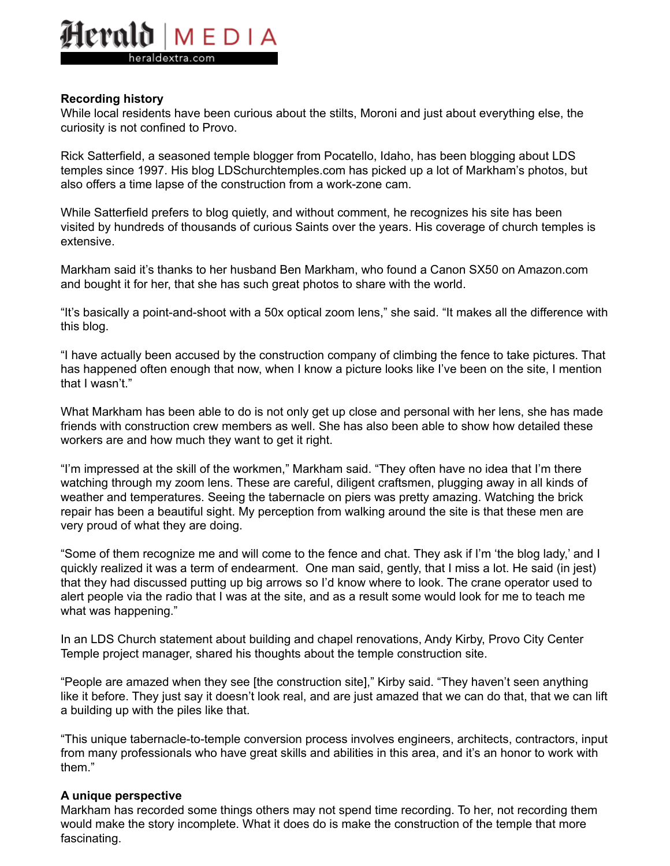# lerald MFDIA eraldextra.com

### **Recording history**

While local residents have been curious about the stilts, Moroni and just about everything else, the curiosity is not confined to Provo.

Rick Satterfield, a seasoned temple blogger from Pocatello, Idaho, has been blogging about LDS temples since 1997. His blog LDSchurchtemples.com has picked up a lot of Markham's photos, but also offers a time lapse of the construction from a work-zone cam.

While Satterfield prefers to blog quietly, and without comment, he recognizes his site has been visited by hundreds of thousands of curious Saints over the years. His coverage of church temples is extensive.

Markham said it's thanks to her husband Ben Markham, who found a Canon SX50 on Amazon.com and bought it for her, that she has such great photos to share with the world.

"It's basically a point-and-shoot with a 50x optical zoom lens," she said. "It makes all the difference with this blog.

"I have actually been accused by the construction company of climbing the fence to take pictures. That has happened often enough that now, when I know a picture looks like I've been on the site, I mention that I wasn't."

What Markham has been able to do is not only get up close and personal with her lens, she has made friends with construction crew members as well. She has also been able to show how detailed these workers are and how much they want to get it right.

"I'm impressed at the skill of the workmen," Markham said. "They often have no idea that I'm there watching through my zoom lens. These are careful, diligent craftsmen, plugging away in all kinds of weather and temperatures. Seeing the tabernacle on piers was pretty amazing. Watching the brick repair has been a beautiful sight. My perception from walking around the site is that these men are very proud of what they are doing.

"Some of them recognize me and will come to the fence and chat. They ask if I'm 'the blog lady,' and I quickly realized it was a term of endearment. One man said, gently, that I miss a lot. He said (in jest) that they had discussed putting up big arrows so I'd know where to look. The crane operator used to alert people via the radio that I was at the site, and as a result some would look for me to teach me what was happening."

In an LDS Church statement about building and chapel renovations, Andy Kirby, Provo City Center Temple project manager, shared his thoughts about the temple construction site.

"People are amazed when they see [the construction site]," Kirby said. "They haven't seen anything like it before. They just say it doesn't look real, and are just amazed that we can do that, that we can lift a building up with the piles like that.

"This unique tabernacle-to-temple conversion process involves engineers, architects, contractors, input from many professionals who have great skills and abilities in this area, and it's an honor to work with them."

#### **A unique perspective**

Markham has recorded some things others may not spend time recording. To her, not recording them would make the story incomplete. What it does do is make the construction of the temple that more fascinating.